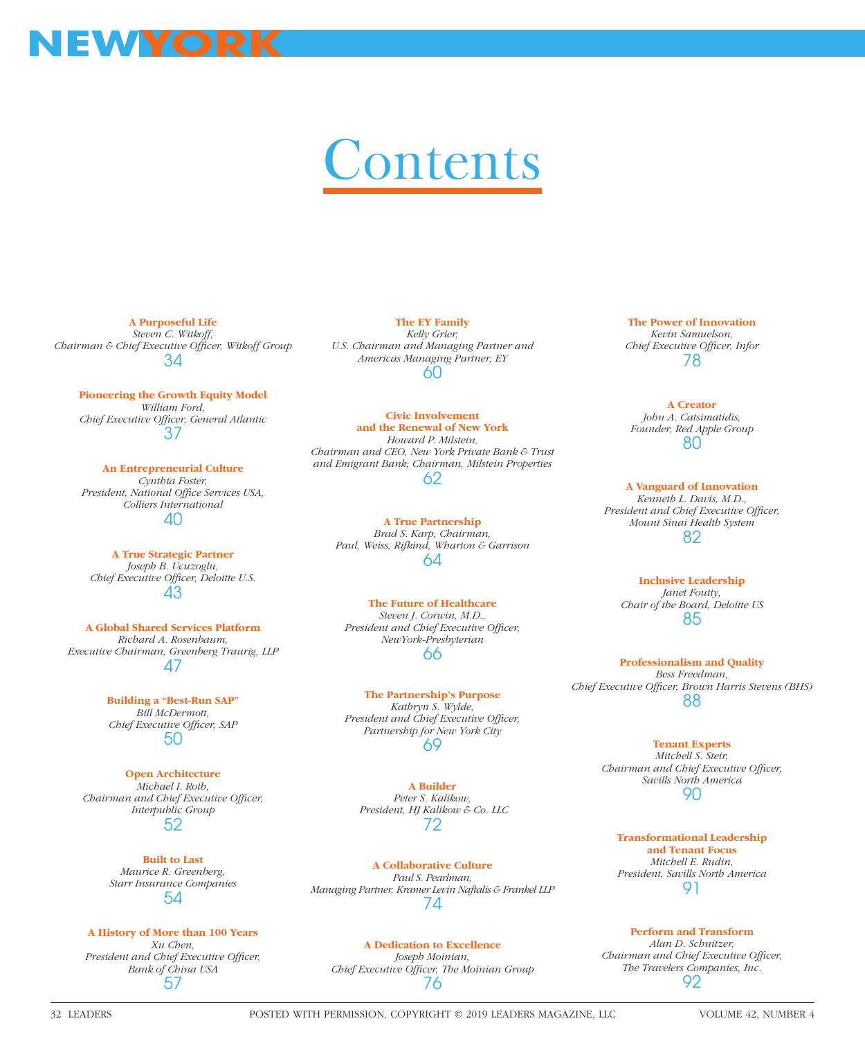

## Contents

**A Purposeful Life**

*Steven C. Witkoff,*  Chairman & Chief Executive Officer, Witkoff Group 34

**Pioneering the Growth Equity Model** *William Ford, Chief Executive Offi cer, General Atlantic* 37

**An Entrepreneurial Culture**  *Cynthia Foster,*  President, National Office Services USA, *Colliers International* 40

**A True Strategic Partner**  *Joseph B. Ucuzoglu, Chief Executive Officer, Deloitte U.S.* 43

**A Global Shared Services Platform** *Richard A. Rosenbaum, Executive Chairman, Greenberg Traurig, LLP* 47

> **Building a "Best-Run SAP"** *Bill McDermott,*  **Chief Executive Officer, SAP** 50

**Open Architecture**  *Michael I. Roth, Chairman and Chief Executive Officer, Interpublic Group* 52

> **Built to Last** *Maurice R. Greenberg, Starr Insurance Companies* 54

## **A History of More than 100 Years**

*Xu Chen,*  **President and Chief Executive Officer,** *Bank of China USA* 57

**The EY Family** *Kelly Grier, U.S. Chairman and Managing Partner and Americas Managing Partner, EY* 60

**Civic Involvement and the Renewal of New York** *Howard P. Milstein, Chairman and CEO, New York Private Bank & Trust and Emigrant Bank; Chairman, Milstein Properties* 62

**A True Partnership**  *Brad S. Karp, Chairman, Paul, Weiss, Rifkind, Wharton & Garrison* 64

**The Future of Healthcare** *Steven J. Corwin, M.D., President and Chief Executive Officer, NewYork-Presbyterian* 66

**The Partnership's Purpose** *Kathryn S. Wylde, President and Chief Executive Officer, Partnership for New York City* 69

**A Builder** *Peter S. Kalikow, President, HJ Kalikow & Co. LLC* 72

**A Collaborative Culture** *Paul S. Pearlman, Managing Partner, Kramer Levin Naftalis & Frankel LLP* 74

**A Dedication to Excellence** *Joseph Moinian,*  Chief Executive Officer, The Moinian Group 76

**The Power of Innovation** *Kevin Samuelson,*  **Chief Executive Officer, Infor** 78

**A Creator** *John A. Catsimatidis, Founder, Red Apple Group* 80

**A Vanguard of Innovation** *Kenneth L. Davis, M.D.,*  President and Chief Executive Officer, *Mount Sinai Health System* 82

**Inclusive Leadership** *Janet Foutty, Chair of the Board, Deloitte US* 85

**Professionalism and Quality** *Bess Freedman,*  Chief Executive Officer, Brown Harris Stevens (BHS) 88

> **Tenant Experts**  *Mitchell S. Steir, Chairman and Chief Executive Officer, Savills North America* 90

**Transformational Leadership and Tenant Focus** *Mitchell E. Rudin, President, Savills North America* 91

**Perform and Transform** *Alan D. Schnitzer, Chairman and Chief Executive Officer, The Travelers Companies, Inc.* 92

32 LEADERS POSTED WITH PERMISSION. COPYRIGHT © 2019 LEADERS MAGAZINE, LLC VOLUME 42, NUMBER 4